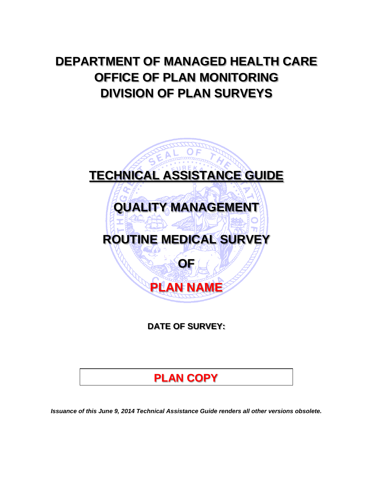# **DEPARTMENT OF MANAGED HEALTH CARE OFFICE OF PLAN MONITORING DIVISION OF PLAN SURVEYS**



**DATE OF SURVEY:** 

# **PLAN COPY**

*Issuance of this June 9, 2014 Technical Assistance Guide renders all other versions obsolete.*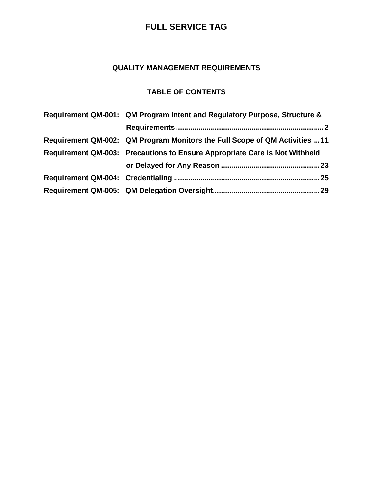#### **QUALITY MANAGEMENT REQUIREMENTS**

### **TABLE OF CONTENTS**

| Requirement QM-001: QM Program Intent and Regulatory Purpose, Structure &   |  |  |
|-----------------------------------------------------------------------------|--|--|
|                                                                             |  |  |
| Requirement QM-002: QM Program Monitors the Full Scope of QM Activities  11 |  |  |
| Requirement QM-003: Precautions to Ensure Appropriate Care is Not Withheld  |  |  |
|                                                                             |  |  |
|                                                                             |  |  |
|                                                                             |  |  |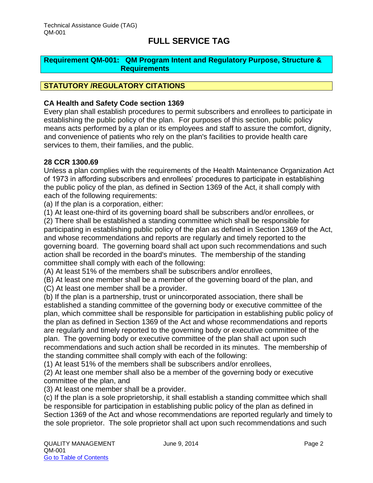#### <span id="page-2-0"></span>**Requirement QM-001: QM Program Intent and Regulatory Purpose, Structure & Requirements**

#### **STATUTORY /REGULATORY CITATIONS**

#### **CA Health and Safety Code section 1369**

Every plan shall establish procedures to permit subscribers and enrollees to participate in establishing the public policy of the plan. For purposes of this section, public policy means acts performed by a plan or its employees and staff to assure the comfort, dignity, and convenience of patients who rely on the plan's facilities to provide health care services to them, their families, and the public.

#### **28 CCR 1300.69**

Unless a plan complies with the requirements of the Health Maintenance Organization Act of 1973 in affording subscribers and enrollees' procedures to participate in establishing the public policy of the plan, as defined in Section 1369 of the Act, it shall comply with each of the following requirements:

(a) If the plan is a corporation, either:

(1) At least one-third of its governing board shall be subscribers and/or enrollees, or

(2) There shall be established a standing committee which shall be responsible for participating in establishing public policy of the plan as defined in Section 1369 of the Act, and whose recommendations and reports are regularly and timely reported to the governing board. The governing board shall act upon such recommendations and such action shall be recorded in the board's minutes. The membership of the standing committee shall comply with each of the following:

(A) At least 51% of the members shall be subscribers and/or enrollees,

(B) At least one member shall be a member of the governing board of the plan, and

(C) At least one member shall be a provider.

(b) If the plan is a partnership, trust or unincorporated association, there shall be established a standing committee of the governing body or executive committee of the plan, which committee shall be responsible for participation in establishing public policy of the plan as defined in Section 1369 of the Act and whose recommendations and reports are regularly and timely reported to the governing body or executive committee of the plan. The governing body or executive committee of the plan shall act upon such recommendations and such action shall be recorded in its minutes. The membership of the standing committee shall comply with each of the following:

(1) At least 51% of the members shall be subscribers and/or enrollees,

(2) At least one member shall also be a member of the governing body or executive committee of the plan, and

(3) At least one member shall be a provider.

(c) If the plan is a sole proprietorship, it shall establish a standing committee which shall be responsible for participation in establishing public policy of the plan as defined in Section 1369 of the Act and whose recommendations are reported regularly and timely to the sole proprietor. The sole proprietor shall act upon such recommendations and such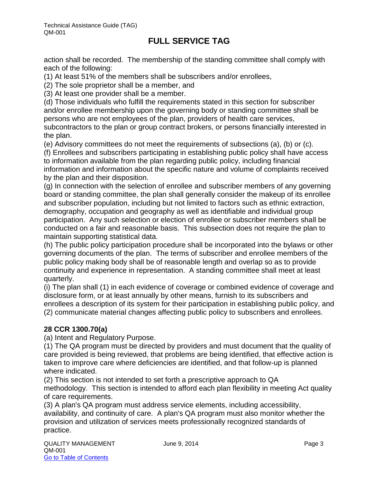action shall be recorded. The membership of the standing committee shall comply with each of the following:

(1) At least 51% of the members shall be subscribers and/or enrollees,

(2) The sole proprietor shall be a member, and

(3) At least one provider shall be a member.

(d) Those individuals who fulfill the requirements stated in this section for subscriber and/or enrollee membership upon the governing body or standing committee shall be persons who are not employees of the plan, providers of health care services, subcontractors to the plan or group contract brokers, or persons financially interested in the plan.

(e) Advisory committees do not meet the requirements of subsections (a), (b) or (c).

(f) Enrollees and subscribers participating in establishing public policy shall have access to information available from the plan regarding public policy, including financial information and information about the specific nature and volume of complaints received by the plan and their disposition.

(g) In connection with the selection of enrollee and subscriber members of any governing board or standing committee, the plan shall generally consider the makeup of its enrollee and subscriber population, including but not limited to factors such as ethnic extraction, demography, occupation and geography as well as identifiable and individual group participation. Any such selection or election of enrollee or subscriber members shall be conducted on a fair and reasonable basis. This subsection does not require the plan to maintain supporting statistical data.

(h) The public policy participation procedure shall be incorporated into the bylaws or other governing documents of the plan. The terms of subscriber and enrollee members of the public policy making body shall be of reasonable length and overlap so as to provide continuity and experience in representation. A standing committee shall meet at least quarterly.

(i) The plan shall (1) in each evidence of coverage or combined evidence of coverage and disclosure form, or at least annually by other means, furnish to its subscribers and enrollees a description of its system for their participation in establishing public policy, and (2) communicate material changes affecting public policy to subscribers and enrollees.

#### **28 CCR 1300.70(a)**

(a) Intent and Regulatory Purpose.

(1) The QA program must be directed by providers and must document that the quality of care provided is being reviewed, that problems are being identified, that effective action is taken to improve care where deficiencies are identified, and that follow-up is planned where indicated.

(2) This section is not intended to set forth a prescriptive approach to QA methodology. This section is intended to afford each plan flexibility in meeting Act quality of care requirements.

(3) A plan's QA program must address service elements, including accessibility, availability, and continuity of care. A plan's QA program must also monitor whether the provision and utilization of services meets professionally recognized standards of practice.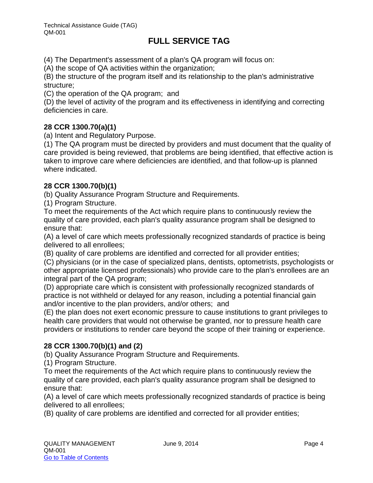(4) The Department's assessment of a plan's QA program will focus on:

(A) the scope of QA activities within the organization;

(B) the structure of the program itself and its relationship to the plan's administrative structure;

(C) the operation of the QA program; and

(D) the level of activity of the program and its effectiveness in identifying and correcting deficiencies in care.

#### **28 CCR 1300.70(a)(1)**

(a) Intent and Regulatory Purpose.

(1) The QA program must be directed by providers and must document that the quality of care provided is being reviewed, that problems are being identified, that effective action is taken to improve care where deficiencies are identified, and that follow-up is planned where indicated.

#### **28 CCR 1300.70(b)(1)**

(b) Quality Assurance Program Structure and Requirements.

(1) Program Structure.

To meet the requirements of the Act which require plans to continuously review the quality of care provided, each plan's quality assurance program shall be designed to ensure that:

(A) a level of care which meets professionally recognized standards of practice is being delivered to all enrollees;

(B) quality of care problems are identified and corrected for all provider entities;

(C) physicians (or in the case of specialized plans, dentists, optometrists, psychologists or other appropriate licensed professionals) who provide care to the plan's enrollees are an integral part of the QA program;

(D) appropriate care which is consistent with professionally recognized standards of practice is not withheld or delayed for any reason, including a potential financial gain and/or incentive to the plan providers, and/or others; and

(E) the plan does not exert economic pressure to cause institutions to grant privileges to health care providers that would not otherwise be granted, nor to pressure health care providers or institutions to render care beyond the scope of their training or experience.

#### **28 CCR 1300.70(b)(1) and (2)**

(b) Quality Assurance Program Structure and Requirements.

(1) Program Structure.

To meet the requirements of the Act which require plans to continuously review the quality of care provided, each plan's quality assurance program shall be designed to ensure that:

(A) a level of care which meets professionally recognized standards of practice is being delivered to all enrollees;

(B) quality of care problems are identified and corrected for all provider entities;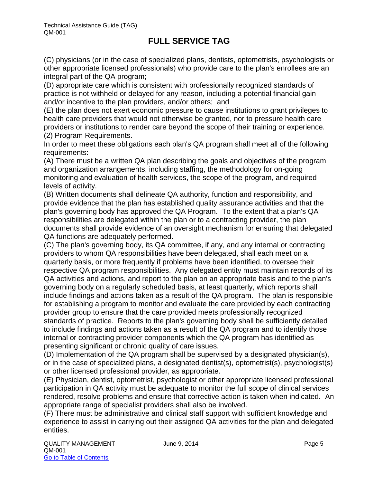(C) physicians (or in the case of specialized plans, dentists, optometrists, psychologists or other appropriate licensed professionals) who provide care to the plan's enrollees are an integral part of the QA program;

(D) appropriate care which is consistent with professionally recognized standards of practice is not withheld or delayed for any reason, including a potential financial gain and/or incentive to the plan providers, and/or others; and

(E) the plan does not exert economic pressure to cause institutions to grant privileges to health care providers that would not otherwise be granted, nor to pressure health care providers or institutions to render care beyond the scope of their training or experience. (2) Program Requirements.

In order to meet these obligations each plan's QA program shall meet all of the following requirements:

(A) There must be a written QA plan describing the goals and objectives of the program and organization arrangements, including staffing, the methodology for on-going monitoring and evaluation of health services, the scope of the program, and required levels of activity.

(B) Written documents shall delineate QA authority, function and responsibility, and provide evidence that the plan has established quality assurance activities and that the plan's governing body has approved the QA Program. To the extent that a plan's QA responsibilities are delegated within the plan or to a contracting provider, the plan documents shall provide evidence of an oversight mechanism for ensuring that delegated QA functions are adequately performed.

(C) The plan's governing body, its QA committee, if any, and any internal or contracting providers to whom QA responsibilities have been delegated, shall each meet on a quarterly basis, or more frequently if problems have been identified, to oversee their respective QA program responsibilities. Any delegated entity must maintain records of its QA activities and actions, and report to the plan on an appropriate basis and to the plan's governing body on a regularly scheduled basis, at least quarterly, which reports shall include findings and actions taken as a result of the QA program. The plan is responsible for establishing a program to monitor and evaluate the care provided by each contracting provider group to ensure that the care provided meets professionally recognized standards of practice. Reports to the plan's governing body shall be sufficiently detailed to include findings and actions taken as a result of the QA program and to identify those internal or contracting provider components which the QA program has identified as presenting significant or chronic quality of care issues.

(D) Implementation of the QA program shall be supervised by a designated physician(s), or in the case of specialized plans, a designated dentist(s), optometrist(s), psychologist(s) or other licensed professional provider, as appropriate.

(E) Physician, dentist, optometrist, psychologist or other appropriate licensed professional participation in QA activity must be adequate to monitor the full scope of clinical services rendered, resolve problems and ensure that corrective action is taken when indicated. An appropriate range of specialist providers shall also be involved.

(F) There must be administrative and clinical staff support with sufficient knowledge and experience to assist in carrying out their assigned QA activities for the plan and delegated entities.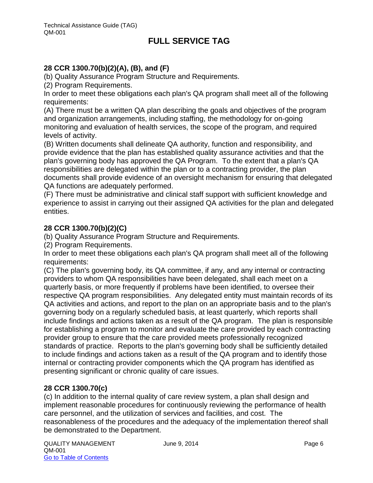#### **28 CCR 1300.70(b)(2)(A), (B), and (F)**

(b) Quality Assurance Program Structure and Requirements.

(2) Program Requirements.

In order to meet these obligations each plan's QA program shall meet all of the following requirements:

(A) There must be a written QA plan describing the goals and objectives of the program and organization arrangements, including staffing, the methodology for on-going monitoring and evaluation of health services, the scope of the program, and required levels of activity.

(B) Written documents shall delineate QA authority, function and responsibility, and provide evidence that the plan has established quality assurance activities and that the plan's governing body has approved the QA Program. To the extent that a plan's QA responsibilities are delegated within the plan or to a contracting provider, the plan documents shall provide evidence of an oversight mechanism for ensuring that delegated QA functions are adequately performed.

(F) There must be administrative and clinical staff support with sufficient knowledge and experience to assist in carrying out their assigned QA activities for the plan and delegated entities.

#### **28 CCR 1300.70(b)(2)(C)**

(b) Quality Assurance Program Structure and Requirements.

(2) Program Requirements.

In order to meet these obligations each plan's QA program shall meet all of the following requirements:

(C) The plan's governing body, its QA committee, if any, and any internal or contracting providers to whom QA responsibilities have been delegated, shall each meet on a quarterly basis, or more frequently if problems have been identified, to oversee their respective QA program responsibilities. Any delegated entity must maintain records of its QA activities and actions, and report to the plan on an appropriate basis and to the plan's governing body on a regularly scheduled basis, at least quarterly, which reports shall include findings and actions taken as a result of the QA program. The plan is responsible for establishing a program to monitor and evaluate the care provided by each contracting provider group to ensure that the care provided meets professionally recognized standards of practice. Reports to the plan's governing body shall be sufficiently detailed to include findings and actions taken as a result of the QA program and to identify those internal or contracting provider components which the QA program has identified as presenting significant or chronic quality of care issues.

#### **28 CCR 1300.70(c)**

(c) In addition to the internal quality of care review system, a plan shall design and implement reasonable procedures for continuously reviewing the performance of health care personnel, and the utilization of services and facilities, and cost. The reasonableness of the procedures and the adequacy of the implementation thereof shall be demonstrated to the Department.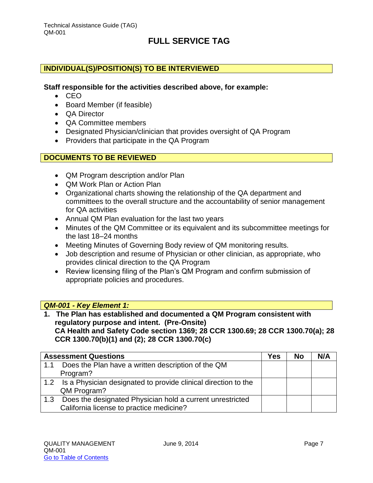#### **INDIVIDUAL(S)/POSITION(S) TO BE INTERVIEWED**

#### **Staff responsible for the activities described above, for example:**

- $\bullet$  CEO
- Board Member (if feasible)
- QA Director
- QA Committee members
- Designated Physician/clinician that provides oversight of QA Program
- Providers that participate in the QA Program

#### **DOCUMENTS TO BE REVIEWED**

- QM Program description and/or Plan
- QM Work Plan or Action Plan
- Organizational charts showing the relationship of the QA department and committees to the overall structure and the accountability of senior management for QA activities
- Annual QM Plan evaluation for the last two years
- Minutes of the QM Committee or its equivalent and its subcommittee meetings for the last 18–24 months
- Meeting Minutes of Governing Body review of QM monitoring results.
- Job description and resume of Physician or other clinician, as appropriate, who provides clinical direction to the QA Program
- Review licensing filing of the Plan's QM Program and confirm submission of appropriate policies and procedures.

#### *QM-001 - Key Element 1:*

**1. The Plan has established and documented a QM Program consistent with regulatory purpose and intent. (Pre-Onsite) CA Health and Safety Code section 1369; 28 CCR 1300.69; 28 CCR 1300.70(a); 28 CCR 1300.70(b)(1) and (2); 28 CCR 1300.70(c)** 

|                  | <b>Assessment Questions</b>                                    | Yes | <b>No</b> | N/A |
|------------------|----------------------------------------------------------------|-----|-----------|-----|
| 1.1              | Does the Plan have a written description of the QM             |     |           |     |
|                  | Program?                                                       |     |           |     |
| 1.2 <sub>1</sub> | Is a Physician designated to provide clinical direction to the |     |           |     |
|                  | QM Program?                                                    |     |           |     |
| 1.3              | Does the designated Physician hold a current unrestricted      |     |           |     |
|                  | California license to practice medicine?                       |     |           |     |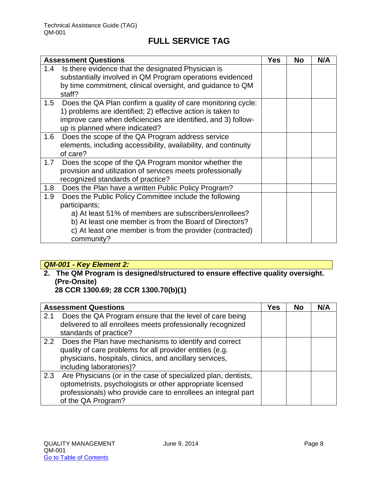|     | <b>Assessment Questions</b>                                                                                                                                                                                                                                          | Yes | <b>No</b> | N/A |
|-----|----------------------------------------------------------------------------------------------------------------------------------------------------------------------------------------------------------------------------------------------------------------------|-----|-----------|-----|
| 1.4 | Is there evidence that the designated Physician is<br>substantially involved in QM Program operations evidenced<br>by time commitment, clinical oversight, and guidance to QM<br>staff?                                                                              |     |           |     |
|     | 1.5 Does the QA Plan confirm a quality of care monitoring cycle:<br>1) problems are identified; 2) effective action is taken to<br>improve care when deficiencies are identified, and 3) follow-<br>up is planned where indicated?                                   |     |           |     |
| 1.6 | Does the scope of the QA Program address service<br>elements, including accessibility, availability, and continuity<br>of care?                                                                                                                                      |     |           |     |
| 1.7 | Does the scope of the QA Program monitor whether the<br>provision and utilization of services meets professionally<br>recognized standards of practice?                                                                                                              |     |           |     |
| 1.8 | Does the Plan have a written Public Policy Program?                                                                                                                                                                                                                  |     |           |     |
| 1.9 | Does the Public Policy Committee include the following<br>participants;<br>a) At least 51% of members are subscribers/enrollees?<br>b) At least one member is from the Board of Directors?<br>c) At least one member is from the provider (contracted)<br>community? |     |           |     |

### *QM-001 - Key Element 2:*

# **2. The QM Program is designed/structured to ensure effective quality oversight. (Pre-Onsite)**

# **28 CCR 1300.69; 28 CCR 1300.70(b)(1)**

|     | <b>Assessment Questions</b>                                                                                                                                                                                       | <b>Yes</b> | <b>No</b> | N/A |
|-----|-------------------------------------------------------------------------------------------------------------------------------------------------------------------------------------------------------------------|------------|-----------|-----|
| 2.1 | Does the QA Program ensure that the level of care being<br>delivered to all enrollees meets professionally recognized                                                                                             |            |           |     |
|     | standards of practice?                                                                                                                                                                                            |            |           |     |
|     | 2.2 Does the Plan have mechanisms to identify and correct<br>quality of care problems for all provider entities (e.g.<br>physicians, hospitals, clinics, and ancillary services,<br>including laboratories)?      |            |           |     |
| 2.3 | Are Physicians (or in the case of specialized plan, dentists,<br>optometrists, psychologists or other appropriate licensed<br>professionals) who provide care to enrollees an integral part<br>of the QA Program? |            |           |     |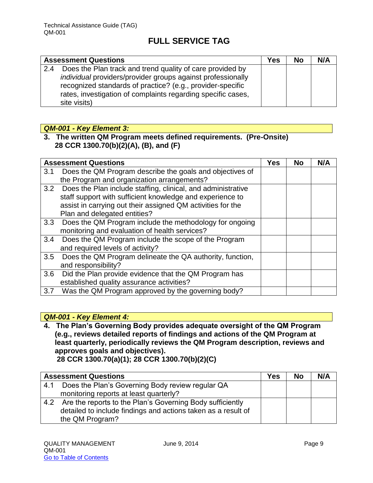|     | <b>Assessment Questions</b>                                  | <b>Yes</b> | <b>No</b> | N/A |
|-----|--------------------------------------------------------------|------------|-----------|-----|
| 2.4 | Does the Plan track and trend quality of care provided by    |            |           |     |
|     | individual providers/provider groups against professionally  |            |           |     |
|     | recognized standards of practice? (e.g., provider-specific   |            |           |     |
|     | rates, investigation of complaints regarding specific cases, |            |           |     |
|     | site visits)                                                 |            |           |     |

#### *QM-001 - Key Element 3:*

#### **3. The written QM Program meets defined requirements. (Pre-Onsite) 28 CCR 1300.70(b)(2)(A), (B), and (F)**

|     | <b>Assessment Questions</b>                                      | Yes | <b>No</b> | N/A |
|-----|------------------------------------------------------------------|-----|-----------|-----|
| 3.1 | Does the QM Program describe the goals and objectives of         |     |           |     |
|     | the Program and organization arrangements?                       |     |           |     |
|     | 3.2 Does the Plan include staffing, clinical, and administrative |     |           |     |
|     | staff support with sufficient knowledge and experience to        |     |           |     |
|     | assist in carrying out their assigned QM activities for the      |     |           |     |
|     | Plan and delegated entities?                                     |     |           |     |
| 3.3 | Does the QM Program include the methodology for ongoing          |     |           |     |
|     | monitoring and evaluation of health services?                    |     |           |     |
| 3.4 | Does the QM Program include the scope of the Program             |     |           |     |
|     | and required levels of activity?                                 |     |           |     |
| 3.5 | Does the QM Program delineate the QA authority, function,        |     |           |     |
|     | and responsibility?                                              |     |           |     |
| 3.6 | Did the Plan provide evidence that the QM Program has            |     |           |     |
|     | established quality assurance activities?                        |     |           |     |
| 3.7 | Was the QM Program approved by the governing body?               |     |           |     |

#### *QM-001 - Key Element 4:*

**4. The Plan's Governing Body provides adequate oversight of the QM Program (e.g., reviews detailed reports of findings and actions of the QM Program at least quarterly, periodically reviews the QM Program description, reviews and approves goals and objectives). 28 CCR 1300.70(a)(1); 28 CCR 1300.70(b)(2)(C)**

**Assessment Questions Yes No N/A** 4.1 Does the Plan's Governing Body review regular QA monitoring reports at least quarterly? 4.2 Are the reports to the Plan's Governing Body sufficiently detailed to include findings and actions taken as a result of the QM Program?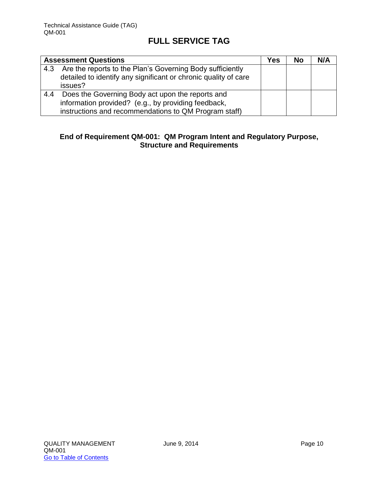|     | <b>Assessment Questions</b>                                     | Yes | <b>No</b> | N/A |
|-----|-----------------------------------------------------------------|-----|-----------|-----|
| 4.3 | Are the reports to the Plan's Governing Body sufficiently       |     |           |     |
|     | detailed to identify any significant or chronic quality of care |     |           |     |
|     | issues?                                                         |     |           |     |
| 4.4 | Does the Governing Body act upon the reports and                |     |           |     |
|     | information provided? (e.g., by providing feedback,             |     |           |     |
|     | instructions and recommendations to QM Program staff)           |     |           |     |

#### **End of Requirement QM-001: QM Program Intent and Regulatory Purpose, Structure and Requirements**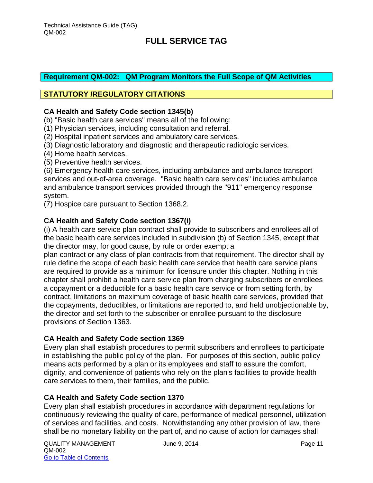#### <span id="page-11-0"></span>**Requirement QM-002: QM Program Monitors the Full Scope of QM Activities**

#### **STATUTORY /REGULATORY CITATIONS**

#### **CA Health and Safety Code section 1345(b)**

- (b) "Basic health care services" means all of the following:
- (1) Physician services, including consultation and referral.
- (2) Hospital inpatient services and ambulatory care services.
- (3) Diagnostic laboratory and diagnostic and therapeutic radiologic services.
- (4) Home health services.
- (5) Preventive health services.

(6) Emergency health care services, including ambulance and ambulance transport services and out-of-area coverage. "Basic health care services" includes ambulance and ambulance transport services provided through the "911" emergency response system.

(7) Hospice care pursuant to Section 1368.2.

#### **CA Health and Safety Code section 1367(i)**

(i) A health care service plan contract shall provide to subscribers and enrollees all of the basic health care services included in subdivision (b) of Section 1345, except that the director may, for good cause, by rule or order exempt a

plan contract or any class of plan contracts from that requirement. The director shall by rule define the scope of each basic health care service that health care service plans are required to provide as a minimum for licensure under this chapter. Nothing in this chapter shall prohibit a health care service plan from charging subscribers or enrollees a copayment or a deductible for a basic health care service or from setting forth, by contract, limitations on maximum coverage of basic health care services, provided that the copayments, deductibles, or limitations are reported to, and held unobjectionable by, the director and set forth to the subscriber or enrollee pursuant to the disclosure provisions of Section 1363.

#### **CA Health and Safety Code section 1369**

Every plan shall establish procedures to permit subscribers and enrollees to participate in establishing the public policy of the plan. For purposes of this section, public policy means acts performed by a plan or its employees and staff to assure the comfort, dignity, and convenience of patients who rely on the plan's facilities to provide health care services to them, their families, and the public.

#### **CA Health and Safety Code section 1370**

Every plan shall establish procedures in accordance with department regulations for continuously reviewing the quality of care, performance of medical personnel, utilization of services and facilities, and costs. Notwithstanding any other provision of law, there shall be no monetary liability on the part of, and no cause of action for damages shall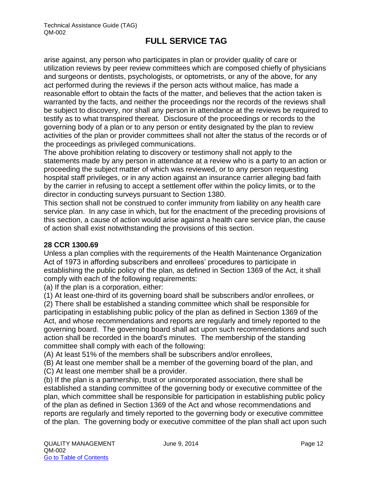arise against, any person who participates in plan or provider quality of care or utilization reviews by peer review committees which are composed chiefly of physicians and surgeons or dentists, psychologists, or optometrists, or any of the above, for any act performed during the reviews if the person acts without malice, has made a reasonable effort to obtain the facts of the matter, and believes that the action taken is warranted by the facts, and neither the proceedings nor the records of the reviews shall be subject to discovery, nor shall any person in attendance at the reviews be required to testify as to what transpired thereat. Disclosure of the proceedings or records to the governing body of a plan or to any person or entity designated by the plan to review activities of the plan or provider committees shall not alter the status of the records or of the proceedings as privileged communications.

The above prohibition relating to discovery or testimony shall not apply to the statements made by any person in attendance at a review who is a party to an action or proceeding the subject matter of which was reviewed, or to any person requesting hospital staff privileges, or in any action against an insurance carrier alleging bad faith by the carrier in refusing to accept a settlement offer within the policy limits, or to the director in conducting surveys pursuant to Section 1380.

This section shall not be construed to confer immunity from liability on any health care service plan. In any case in which, but for the enactment of the preceding provisions of this section, a cause of action would arise against a health care service plan, the cause of action shall exist notwithstanding the provisions of this section.

#### **28 CCR 1300.69**

Unless a plan complies with the requirements of the Health Maintenance Organization Act of 1973 in affording subscribers and enrollees' procedures to participate in establishing the public policy of the plan, as defined in Section 1369 of the Act, it shall comply with each of the following requirements:

(a) If the plan is a corporation, either:

(1) At least one-third of its governing board shall be subscribers and/or enrollees, or (2) There shall be established a standing committee which shall be responsible for participating in establishing public policy of the plan as defined in Section 1369 of the Act, and whose recommendations and reports are regularly and timely reported to the governing board. The governing board shall act upon such recommendations and such action shall be recorded in the board's minutes. The membership of the standing committee shall comply with each of the following:

(A) At least 51% of the members shall be subscribers and/or enrollees,

(B) At least one member shall be a member of the governing board of the plan, and

(C) At least one member shall be a provider.

(b) If the plan is a partnership, trust or unincorporated association, there shall be established a standing committee of the governing body or executive committee of the plan, which committee shall be responsible for participation in establishing public policy of the plan as defined in Section 1369 of the Act and whose recommendations and reports are regularly and timely reported to the governing body or executive committee of the plan. The governing body or executive committee of the plan shall act upon such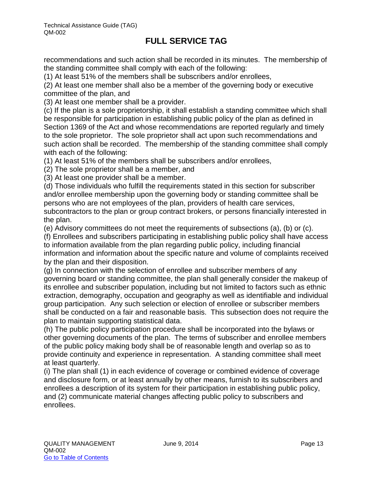recommendations and such action shall be recorded in its minutes. The membership of the standing committee shall comply with each of the following:

(1) At least 51% of the members shall be subscribers and/or enrollees,

(2) At least one member shall also be a member of the governing body or executive committee of the plan, and

(3) At least one member shall be a provider.

(c) If the plan is a sole proprietorship, it shall establish a standing committee which shall be responsible for participation in establishing public policy of the plan as defined in Section 1369 of the Act and whose recommendations are reported regularly and timely to the sole proprietor. The sole proprietor shall act upon such recommendations and such action shall be recorded. The membership of the standing committee shall comply with each of the following:

(1) At least 51% of the members shall be subscribers and/or enrollees,

(2) The sole proprietor shall be a member, and

(3) At least one provider shall be a member.

(d) Those individuals who fulfill the requirements stated in this section for subscriber and/or enrollee membership upon the governing body or standing committee shall be persons who are not employees of the plan, providers of health care services,

subcontractors to the plan or group contract brokers, or persons financially interested in the plan.

(e) Advisory committees do not meet the requirements of subsections (a), (b) or (c).

(f) Enrollees and subscribers participating in establishing public policy shall have access to information available from the plan regarding public policy, including financial information and information about the specific nature and volume of complaints received by the plan and their disposition.

(g) In connection with the selection of enrollee and subscriber members of any governing board or standing committee, the plan shall generally consider the makeup of its enrollee and subscriber population, including but not limited to factors such as ethnic extraction, demography, occupation and geography as well as identifiable and individual group participation. Any such selection or election of enrollee or subscriber members shall be conducted on a fair and reasonable basis. This subsection does not require the plan to maintain supporting statistical data.

(h) The public policy participation procedure shall be incorporated into the bylaws or other governing documents of the plan. The terms of subscriber and enrollee members of the public policy making body shall be of reasonable length and overlap so as to provide continuity and experience in representation. A standing committee shall meet at least quarterly.

(i) The plan shall (1) in each evidence of coverage or combined evidence of coverage and disclosure form, or at least annually by other means, furnish to its subscribers and enrollees a description of its system for their participation in establishing public policy, and (2) communicate material changes affecting public policy to subscribers and enrollees.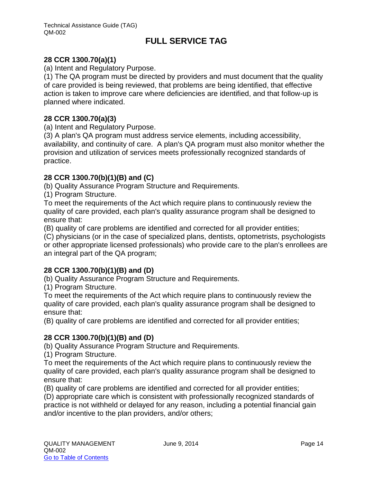#### **28 CCR 1300.70(a)(1)**

(a) Intent and Regulatory Purpose.

(1) The QA program must be directed by providers and must document that the quality of care provided is being reviewed, that problems are being identified, that effective action is taken to improve care where deficiencies are identified, and that follow-up is planned where indicated.

#### **28 CCR 1300.70(a)(3)**

(a) Intent and Regulatory Purpose.

(3) A plan's QA program must address service elements, including accessibility, availability, and continuity of care. A plan's QA program must also monitor whether the provision and utilization of services meets professionally recognized standards of practice.

#### **28 CCR 1300.70(b)(1)(B) and (C)**

(b) Quality Assurance Program Structure and Requirements.

(1) Program Structure.

To meet the requirements of the Act which require plans to continuously review the quality of care provided, each plan's quality assurance program shall be designed to ensure that:

(B) quality of care problems are identified and corrected for all provider entities;

(C) physicians (or in the case of specialized plans, dentists, optometrists, psychologists or other appropriate licensed professionals) who provide care to the plan's enrollees are an integral part of the QA program;

#### **28 CCR 1300.70(b)(1)(B) and (D)**

(b) Quality Assurance Program Structure and Requirements.

(1) Program Structure.

To meet the requirements of the Act which require plans to continuously review the quality of care provided, each plan's quality assurance program shall be designed to ensure that:

(B) quality of care problems are identified and corrected for all provider entities;

#### **28 CCR 1300.70(b)(1)(B) and (D)**

(b) Quality Assurance Program Structure and Requirements.

(1) Program Structure.

To meet the requirements of the Act which require plans to continuously review the quality of care provided, each plan's quality assurance program shall be designed to ensure that:

(B) quality of care problems are identified and corrected for all provider entities;

(D) appropriate care which is consistent with professionally recognized standards of practice is not withheld or delayed for any reason, including a potential financial gain and/or incentive to the plan providers, and/or others;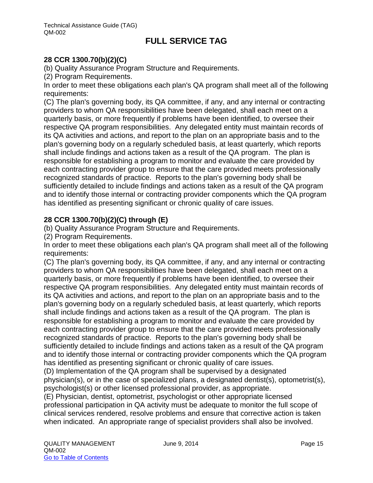#### **28 CCR 1300.70(b)(2)(C)**

(b) Quality Assurance Program Structure and Requirements.

(2) Program Requirements.

In order to meet these obligations each plan's QA program shall meet all of the following requirements:

(C) The plan's governing body, its QA committee, if any, and any internal or contracting providers to whom QA responsibilities have been delegated, shall each meet on a quarterly basis, or more frequently if problems have been identified, to oversee their respective QA program responsibilities. Any delegated entity must maintain records of its QA activities and actions, and report to the plan on an appropriate basis and to the plan's governing body on a regularly scheduled basis, at least quarterly, which reports shall include findings and actions taken as a result of the QA program. The plan is responsible for establishing a program to monitor and evaluate the care provided by each contracting provider group to ensure that the care provided meets professionally recognized standards of practice. Reports to the plan's governing body shall be sufficiently detailed to include findings and actions taken as a result of the QA program and to identify those internal or contracting provider components which the QA program has identified as presenting significant or chronic quality of care issues.

#### **28 CCR 1300.70(b)(2)(C) through (E)**

(b) Quality Assurance Program Structure and Requirements.

(2) Program Requirements.

In order to meet these obligations each plan's QA program shall meet all of the following requirements:

(C) The plan's governing body, its QA committee, if any, and any internal or contracting providers to whom QA responsibilities have been delegated, shall each meet on a quarterly basis, or more frequently if problems have been identified, to oversee their respective QA program responsibilities. Any delegated entity must maintain records of its QA activities and actions, and report to the plan on an appropriate basis and to the plan's governing body on a regularly scheduled basis, at least quarterly, which reports shall include findings and actions taken as a result of the QA program. The plan is responsible for establishing a program to monitor and evaluate the care provided by each contracting provider group to ensure that the care provided meets professionally recognized standards of practice. Reports to the plan's governing body shall be sufficiently detailed to include findings and actions taken as a result of the QA program and to identify those internal or contracting provider components which the QA program has identified as presenting significant or chronic quality of care issues.

(D) Implementation of the QA program shall be supervised by a designated physician(s), or in the case of specialized plans, a designated dentist(s), optometrist(s), psychologist(s) or other licensed professional provider, as appropriate.

(E) Physician, dentist, optometrist, psychologist or other appropriate licensed professional participation in QA activity must be adequate to monitor the full scope of clinical services rendered, resolve problems and ensure that corrective action is taken when indicated. An appropriate range of specialist providers shall also be involved.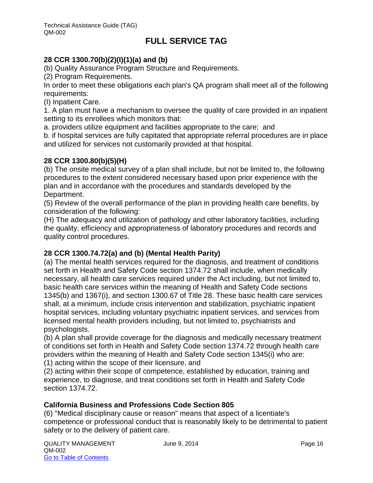#### **28 CCR 1300.70(b)(2)(I)(1)(a) and (b)**

(b) Quality Assurance Program Structure and Requirements.

(2) Program Requirements.

In order to meet these obligations each plan's QA program shall meet all of the following requirements:

(I) Inpatient Care.

1. A plan must have a mechanism to oversee the quality of care provided in an inpatient setting to its enrollees which monitors that:

a. providers utilize equipment and facilities appropriate to the care; and

b. if hospital services are fully capitated that appropriate referral procedures are in place and utilized for services not customarily provided at that hospital.

#### **28 CCR 1300.80(b)(5)(H)**

(b) The onsite medical survey of a plan shall include, but not be limited to, the following procedures to the extent considered necessary based upon prior experience with the plan and in accordance with the procedures and standards developed by the Department.

(5) Review of the overall performance of the plan in providing health care benefits, by consideration of the following:

(H) The adequacy and utilization of pathology and other laboratory facilities, including the quality, efficiency and appropriateness of laboratory procedures and records and quality control procedures.

#### **28 CCR 1300.74.72(a) and (b) (Mental Health Parity)**

(a) The mental health services required for the diagnosis, and treatment of conditions set forth in Health and Safety Code section 1374.72 shall include, when medically necessary, all health care services required under the Act including, but not limited to, basic health care services within the meaning of Health and Safety Code sections 1345(b) and 1367(i), and section 1300.67 of Title 28. These basic health care services shall, at a minimum, include crisis intervention and stabilization, psychiatric inpatient hospital services, including voluntary psychiatric inpatient services, and services from licensed mental health providers including, but not limited to, psychiatrists and psychologists.

(b) A plan shall provide coverage for the diagnosis and medically necessary treatment of conditions set forth in Health and Safety Code section 1374.72 through health care providers within the meaning of Health and Safety Code section 1345(i) who are: (1) acting within the scope of their licensure, and

(2) acting within their scope of competence, established by education, training and

experience, to diagnose, and treat conditions set forth in Health and Safety Code section 1374.72.

#### **California Business and Professions Code Section 805**

(6) "Medical disciplinary cause or reason" means that aspect of a licentiate's competence or professional conduct that is reasonably likely to be detrimental to patient safety or to the delivery of patient care.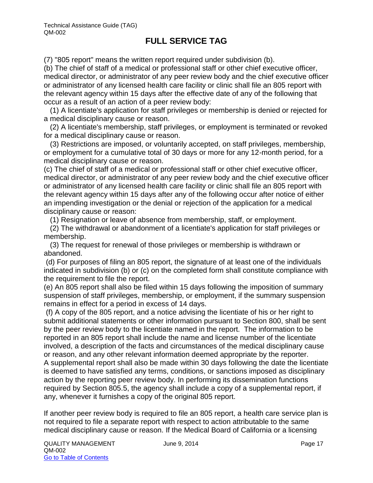(7) "805 report" means the written report required under subdivision (b).

(b) The chief of staff of a medical or professional staff or other chief executive officer, medical director, or administrator of any peer review body and the chief executive officer or administrator of any licensed health care facility or clinic shall file an 805 report with the relevant agency within 15 days after the effective date of any of the following that occur as a result of an action of a peer review body:

 (1) A licentiate's application for staff privileges or membership is denied or rejected for a medical disciplinary cause or reason.

 (2) A licentiate's membership, staff privileges, or employment is terminated or revoked for a medical disciplinary cause or reason.

 (3) Restrictions are imposed, or voluntarily accepted, on staff privileges, membership, or employment for a cumulative total of 30 days or more for any 12-month period, for a medical disciplinary cause or reason.

(c) The chief of staff of a medical or professional staff or other chief executive officer, medical director, or administrator of any peer review body and the chief executive officer or administrator of any licensed health care facility or clinic shall file an 805 report with the relevant agency within 15 days after any of the following occur after notice of either an impending investigation or the denial or rejection of the application for a medical disciplinary cause or reason:

(1) Resignation or leave of absence from membership, staff, or employment.

 (2) The withdrawal or abandonment of a licentiate's application for staff privileges or membership.

 (3) The request for renewal of those privileges or membership is withdrawn or abandoned.

(d) For purposes of filing an 805 report, the signature of at least one of the individuals indicated in subdivision (b) or (c) on the completed form shall constitute compliance with the requirement to file the report.

(e) An 805 report shall also be filed within 15 days following the imposition of summary suspension of staff privileges, membership, or employment, if the summary suspension remains in effect for a period in excess of 14 days.

(f) A copy of the 805 report, and a notice advising the licentiate of his or her right to submit additional statements or other information pursuant to Section 800, shall be sent by the peer review body to the licentiate named in the report. The information to be reported in an 805 report shall include the name and license number of the licentiate involved, a description of the facts and circumstances of the medical disciplinary cause or reason, and any other relevant information deemed appropriate by the reporter. A supplemental report shall also be made within 30 days following the date the licentiate is deemed to have satisfied any terms, conditions, or sanctions imposed as disciplinary action by the reporting peer review body. In performing its dissemination functions required by Section 805.5, the agency shall include a copy of a supplemental report, if any, whenever it furnishes a copy of the original 805 report.

If another peer review body is required to file an 805 report, a health care service plan is not required to file a separate report with respect to action attributable to the same medical disciplinary cause or reason. If the Medical Board of California or a licensing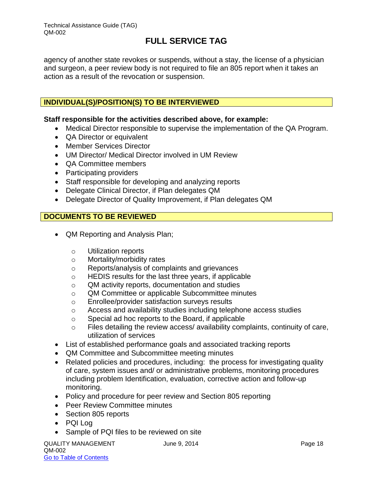agency of another state revokes or suspends, without a stay, the license of a physician and surgeon, a peer review body is not required to file an 805 report when it takes an action as a result of the revocation or suspension.

#### **INDIVIDUAL(S)/POSITION(S) TO BE INTERVIEWED**

#### **Staff responsible for the activities described above, for example:**

- Medical Director responsible to supervise the implementation of the QA Program.
- QA Director or equivalent
- Member Services Director
- UM Director/ Medical Director involved in UM Review
- QA Committee members
- Participating providers
- Staff responsible for developing and analyzing reports
- Delegate Clinical Director, if Plan delegates QM
- Delegate Director of Quality Improvement, if Plan delegates QM

#### **DOCUMENTS TO BE REVIEWED**

- QM Reporting and Analysis Plan;
	- o Utilization reports
	- o Mortality/morbidity rates
	- o Reports/analysis of complaints and grievances
	- o HEDIS results for the last three years, if applicable
	- o QM activity reports, documentation and studies
	- o QM Committee or applicable Subcommittee minutes
	- o Enrollee/provider satisfaction surveys results
	- o Access and availability studies including telephone access studies
	- o Special ad hoc reports to the Board, if applicable
	- o Files detailing the review access/ availability complaints, continuity of care, utilization of services
- List of established performance goals and associated tracking reports
- QM Committee and Subcommittee meeting minutes
- Related policies and procedures, including: the process for investigating quality of care, system issues and/ or administrative problems, monitoring procedures including problem Identification, evaluation, corrective action and follow-up monitoring.
- Policy and procedure for peer review and Section 805 reporting
- Peer Review Committee minutes
- Section 805 reports
- PQI Log
- Sample of PQI files to be reviewed on site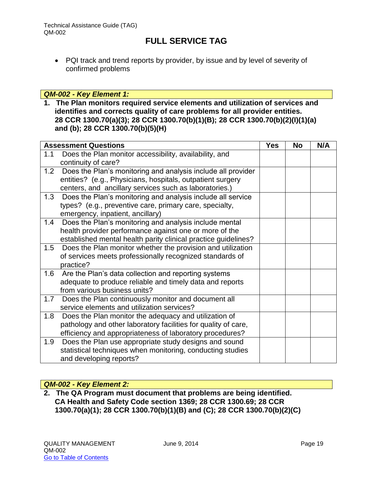PQI track and trend reports by provider, by issue and by level of severity of confirmed problems

#### *QM-002 - Key Element 1:*

**1. The Plan monitors required service elements and utilization of services and identifies and corrects quality of care problems for all provider entities. 28 CCR 1300.70(a)(3); 28 CCR 1300.70(b)(1)(B); 28 CCR 1300.70(b)(2)(I)(1)(a) and (b); 28 CCR 1300.70(b)(5)(H)** 

|     | <b>Assessment Questions</b>                                    | <b>Yes</b> | <b>No</b> | N/A |
|-----|----------------------------------------------------------------|------------|-----------|-----|
| 1.1 | Does the Plan monitor accessibility, availability, and         |            |           |     |
|     | continuity of care?                                            |            |           |     |
| 1.2 | Does the Plan's monitoring and analysis include all provider   |            |           |     |
|     | entities? (e.g., Physicians, hospitals, outpatient surgery     |            |           |     |
|     | centers, and ancillary services such as laboratories.)         |            |           |     |
| 1.3 | Does the Plan's monitoring and analysis include all service    |            |           |     |
|     | types? (e.g., preventive care, primary care, specialty,        |            |           |     |
|     | emergency, inpatient, ancillary)                               |            |           |     |
| 1.4 | Does the Plan's monitoring and analysis include mental         |            |           |     |
|     | health provider performance against one or more of the         |            |           |     |
|     | established mental health parity clinical practice guidelines? |            |           |     |
| 1.5 | Does the Plan monitor whether the provision and utilization    |            |           |     |
|     | of services meets professionally recognized standards of       |            |           |     |
|     | practice?                                                      |            |           |     |
| 1.6 | Are the Plan's data collection and reporting systems           |            |           |     |
|     | adequate to produce reliable and timely data and reports       |            |           |     |
|     | from various business units?                                   |            |           |     |
| 1.7 | Does the Plan continuously monitor and document all            |            |           |     |
|     | service elements and utilization services?                     |            |           |     |
| 1.8 | Does the Plan monitor the adequacy and utilization of          |            |           |     |
|     | pathology and other laboratory facilities for quality of care, |            |           |     |
|     | efficiency and appropriateness of laboratory procedures?       |            |           |     |
| 1.9 | Does the Plan use appropriate study designs and sound          |            |           |     |
|     | statistical techniques when monitoring, conducting studies     |            |           |     |
|     | and developing reports?                                        |            |           |     |

#### *QM-002 - Key Element 2:*

**2. The QA Program must document that problems are being identified. CA Health and Safety Code section 1369; 28 CCR 1300.69; 28 CCR 1300.70(a)(1); 28 CCR 1300.70(b)(1)(B) and (C); 28 CCR 1300.70(b)(2)(C)**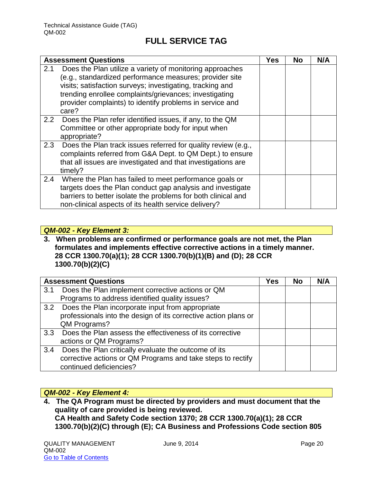|     | <b>Assessment Questions</b>                                                                                                                                                                                                                                                                                     | Yes | No | N/A |
|-----|-----------------------------------------------------------------------------------------------------------------------------------------------------------------------------------------------------------------------------------------------------------------------------------------------------------------|-----|----|-----|
| 2.1 | Does the Plan utilize a variety of monitoring approaches<br>(e.g., standardized performance measures; provider site<br>visits; satisfaction surveys; investigating, tracking and<br>trending enrollee complaints/grievances; investigating<br>provider complaints) to identify problems in service and<br>care? |     |    |     |
| 2.2 | Does the Plan refer identified issues, if any, to the QM<br>Committee or other appropriate body for input when<br>appropriate?                                                                                                                                                                                  |     |    |     |
| 2.3 | Does the Plan track issues referred for quality review (e.g.,<br>complaints referred from G&A Dept. to QM Dept.) to ensure<br>that all issues are investigated and that investigations are<br>timely?                                                                                                           |     |    |     |
| 2.4 | Where the Plan has failed to meet performance goals or<br>targets does the Plan conduct gap analysis and investigate<br>barriers to better isolate the problems for both clinical and<br>non-clinical aspects of its health service delivery?                                                                   |     |    |     |

#### *QM-002 - Key Element 3:*

**3. When problems are confirmed or performance goals are not met, the Plan formulates and implements effective corrective actions in a timely manner. 28 CCR 1300.70(a)(1); 28 CCR 1300.70(b)(1)(B) and (D); 28 CCR 1300.70(b)(2)(C)**

|     | <b>Assessment Questions</b>                                     | Yes | No | N/A |
|-----|-----------------------------------------------------------------|-----|----|-----|
| 3.1 | Does the Plan implement corrective actions or QM                |     |    |     |
|     | Programs to address identified quality issues?                  |     |    |     |
| 3.2 | Does the Plan incorporate input from appropriate                |     |    |     |
|     | professionals into the design of its corrective action plans or |     |    |     |
|     | QM Programs?                                                    |     |    |     |
| 3.3 | Does the Plan assess the effectiveness of its corrective        |     |    |     |
|     | actions or QM Programs?                                         |     |    |     |
| 3.4 | Does the Plan critically evaluate the outcome of its            |     |    |     |
|     | corrective actions or QM Programs and take steps to rectify     |     |    |     |
|     | continued deficiencies?                                         |     |    |     |

#### *QM-002 - Key Element 4:*

**4. The QA Program must be directed by providers and must document that the quality of care provided is being reviewed. CA Health and Safety Code section 1370; 28 CCR 1300.70(a)(1); 28 CCR 1300.70(b)(2)(C) through (E); CA Business and Professions Code section 805**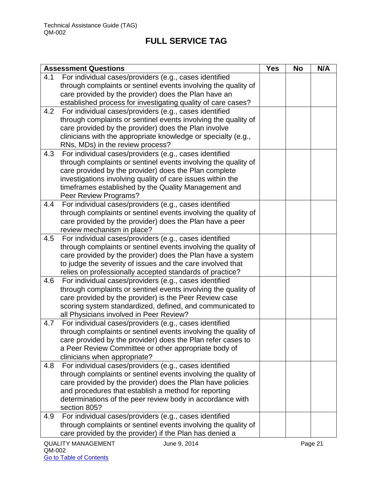| <b>Assessment Questions</b>                                                                                                     | <b>Yes</b> | <b>No</b> | N/A     |
|---------------------------------------------------------------------------------------------------------------------------------|------------|-----------|---------|
| For individual cases/providers (e.g., cases identified<br>4.1                                                                   |            |           |         |
| through complaints or sentinel events involving the quality of                                                                  |            |           |         |
| care provided by the provider) does the Plan have an                                                                            |            |           |         |
| established process for investigating quality of care cases?                                                                    |            |           |         |
| For individual cases/providers (e.g., cases identified<br>4.2                                                                   |            |           |         |
| through complaints or sentinel events involving the quality of                                                                  |            |           |         |
| care provided by the provider) does the Plan involve                                                                            |            |           |         |
| clinicians with the appropriate knowledge or specialty (e.g.,                                                                   |            |           |         |
| RNs, MDs) in the review process?                                                                                                |            |           |         |
| For individual cases/providers (e.g., cases identified<br>4.3                                                                   |            |           |         |
| through complaints or sentinel events involving the quality of                                                                  |            |           |         |
| care provided by the provider) does the Plan complete                                                                           |            |           |         |
| investigations involving quality of care issues within the                                                                      |            |           |         |
| timeframes established by the Quality Management and                                                                            |            |           |         |
| Peer Review Programs?                                                                                                           |            |           |         |
| For individual cases/providers (e.g., cases identified<br>4.4                                                                   |            |           |         |
| through complaints or sentinel events involving the quality of                                                                  |            |           |         |
| care provided by the provider) does the Plan have a peer                                                                        |            |           |         |
| review mechanism in place?                                                                                                      |            |           |         |
| For individual cases/providers (e.g., cases identified<br>4.5                                                                   |            |           |         |
| through complaints or sentinel events involving the quality of                                                                  |            |           |         |
| care provided by the provider) does the Plan have a system                                                                      |            |           |         |
| to judge the severity of issues and the care involved that                                                                      |            |           |         |
| relies on professionally accepted standards of practice?                                                                        |            |           |         |
| For individual cases/providers (e.g., cases identified<br>4.6                                                                   |            |           |         |
| through complaints or sentinel events involving the quality of                                                                  |            |           |         |
| care provided by the provider) is the Peer Review case                                                                          |            |           |         |
| scoring system standardized, defined, and communicated to                                                                       |            |           |         |
| all Physicians involved in Peer Review?                                                                                         |            |           |         |
| For individual cases/providers (e.g., cases identified<br>4.7                                                                   |            |           |         |
| through complaints or sentinel events involving the quality of                                                                  |            |           |         |
| care provided by the provider) does the Plan refer cases to                                                                     |            |           |         |
| a Peer Review Committee or other appropriate body of                                                                            |            |           |         |
| clinicians when appropriate?                                                                                                    |            |           |         |
| For individual cases/providers (e.g., cases identified<br>4.8                                                                   |            |           |         |
| through complaints or sentinel events involving the quality of                                                                  |            |           |         |
| care provided by the provider) does the Plan have policies                                                                      |            |           |         |
| and procedures that establish a method for reporting<br>determinations of the peer review body in accordance with               |            |           |         |
| section 805?                                                                                                                    |            |           |         |
|                                                                                                                                 |            |           |         |
| For individual cases/providers (e.g., cases identified<br>4.9<br>through complaints or sentinel events involving the quality of |            |           |         |
| care provided by the provider) if the Plan has denied a                                                                         |            |           |         |
|                                                                                                                                 |            |           |         |
| <b>QUALITY MANAGEMENT</b><br>June 9, 2014                                                                                       |            |           | Page 21 |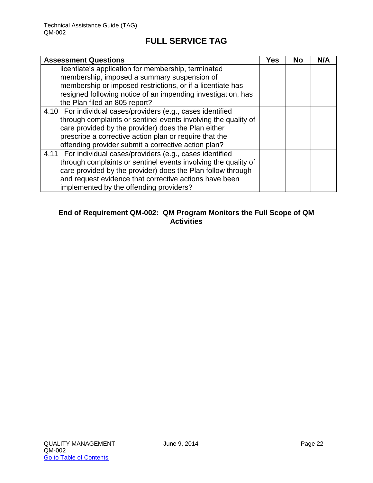| <b>Assessment Questions</b>                                    | <b>Yes</b> | No | N/A |
|----------------------------------------------------------------|------------|----|-----|
| licentiate's application for membership, terminated            |            |    |     |
| membership, imposed a summary suspension of                    |            |    |     |
| membership or imposed restrictions, or if a licentiate has     |            |    |     |
| resigned following notice of an impending investigation, has   |            |    |     |
| the Plan filed an 805 report?                                  |            |    |     |
| 4.10 For individual cases/providers (e.g., cases identified    |            |    |     |
| through complaints or sentinel events involving the quality of |            |    |     |
| care provided by the provider) does the Plan either            |            |    |     |
| prescribe a corrective action plan or require that the         |            |    |     |
| offending provider submit a corrective action plan?            |            |    |     |
| 4.11 For individual cases/providers (e.g., cases identified    |            |    |     |
| through complaints or sentinel events involving the quality of |            |    |     |
| care provided by the provider) does the Plan follow through    |            |    |     |
| and request evidence that corrective actions have been         |            |    |     |
| implemented by the offending providers?                        |            |    |     |

#### **End of Requirement QM-002: QM Program Monitors the Full Scope of QM Activities**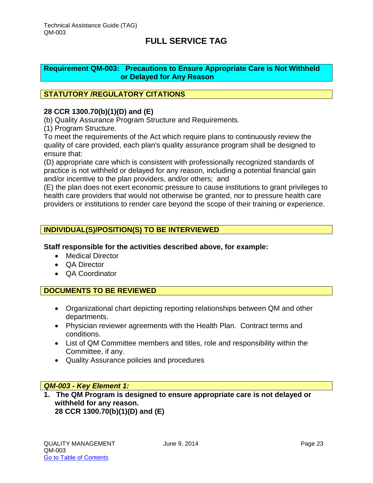#### <span id="page-23-0"></span>**Requirement QM-003: Precautions to Ensure Appropriate Care is Not Withheld or Delayed for Any Reason**

#### **STATUTORY /REGULATORY CITATIONS**

#### **28 CCR 1300.70(b)(1)(D) and (E)**

(b) Quality Assurance Program Structure and Requirements.

(1) Program Structure.

To meet the requirements of the Act which require plans to continuously review the quality of care provided, each plan's quality assurance program shall be designed to ensure that:

(D) appropriate care which is consistent with professionally recognized standards of practice is not withheld or delayed for any reason, including a potential financial gain and/or incentive to the plan providers, and/or others; and

(E) the plan does not exert economic pressure to cause institutions to grant privileges to health care providers that would not otherwise be granted, nor to pressure health care providers or institutions to render care beyond the scope of their training or experience.

#### **INDIVIDUAL(S)/POSITION(S) TO BE INTERVIEWED**

**Staff responsible for the activities described above, for example:** 

- Medical Director
- **QA Director**
- QA Coordinator

#### **DOCUMENTS TO BE REVIEWED**

- Organizational chart depicting reporting relationships between QM and other departments.
- Physician reviewer agreements with the Health Plan. Contract terms and conditions.
- List of QM Committee members and titles, role and responsibility within the Committee, if any.
- Quality Assurance policies and procedures

#### *QM-003 - Key Element 1:*

**1. The QM Program is designed to ensure appropriate care is not delayed or withheld for any reason. 28 CCR 1300.70(b)(1)(D) and (E)**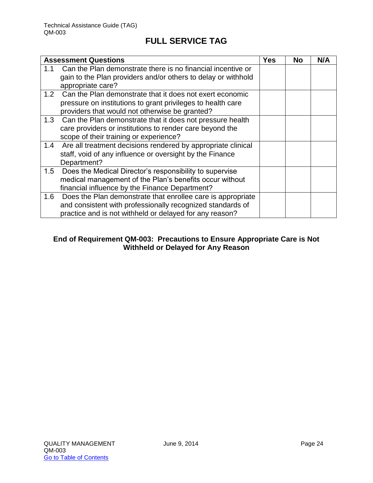|     | <b>Assessment Questions</b>                                      | Yes | No | N/A |
|-----|------------------------------------------------------------------|-----|----|-----|
| 1.1 | Can the Plan demonstrate there is no financial incentive or      |     |    |     |
|     | gain to the Plan providers and/or others to delay or withhold    |     |    |     |
|     | appropriate care?                                                |     |    |     |
| 1.2 | Can the Plan demonstrate that it does not exert economic         |     |    |     |
|     | pressure on institutions to grant privileges to health care      |     |    |     |
|     | providers that would not otherwise be granted?                   |     |    |     |
|     | 1.3 Can the Plan demonstrate that it does not pressure health    |     |    |     |
|     | care providers or institutions to render care beyond the         |     |    |     |
|     | scope of their training or experience?                           |     |    |     |
|     | 1.4 Are all treatment decisions rendered by appropriate clinical |     |    |     |
|     | staff, void of any influence or oversight by the Finance         |     |    |     |
|     | Department?                                                      |     |    |     |
| 1.5 | Does the Medical Director's responsibility to supervise          |     |    |     |
|     | medical management of the Plan's benefits occur without          |     |    |     |
|     | financial influence by the Finance Department?                   |     |    |     |
| 1.6 | Does the Plan demonstrate that enrollee care is appropriate      |     |    |     |
|     | and consistent with professionally recognized standards of       |     |    |     |
|     | practice and is not withheld or delayed for any reason?          |     |    |     |

#### **End of Requirement QM-003: Precautions to Ensure Appropriate Care is Not Withheld or Delayed for Any Reason**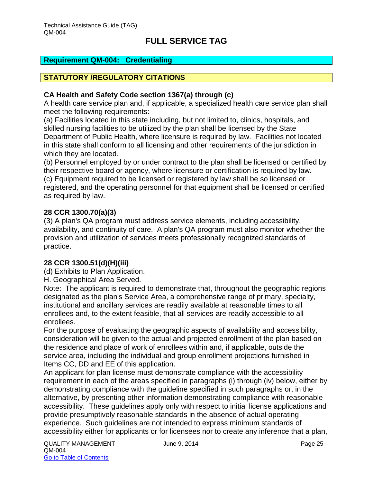#### <span id="page-25-0"></span>**Requirement QM-004: Credentialing**

#### **STATUTORY /REGULATORY CITATIONS**

#### **CA Health and Safety Code section 1367(a) through (c)**

A health care service plan and, if applicable, a specialized health care service plan shall meet the following requirements:

(a) Facilities located in this state including, but not limited to, clinics, hospitals, and skilled nursing facilities to be utilized by the plan shall be licensed by the State Department of Public Health, where licensure is required by law. Facilities not located in this state shall conform to all licensing and other requirements of the jurisdiction in which they are located.

(b) Personnel employed by or under contract to the plan shall be licensed or certified by their respective board or agency, where licensure or certification is required by law. (c) Equipment required to be licensed or registered by law shall be so licensed or registered, and the operating personnel for that equipment shall be licensed or certified as required by law.

#### **28 CCR 1300.70(a)(3)**

(3) A plan's QA program must address service elements, including accessibility, availability, and continuity of care. A plan's QA program must also monitor whether the provision and utilization of services meets professionally recognized standards of practice.

#### **28 CCR 1300.51(d)(H)(iii)**

- (d) Exhibits to Plan Application.
- H. Geographical Area Served.

Note: The applicant is required to demonstrate that, throughout the geographic regions designated as the plan's Service Area, a comprehensive range of primary, specialty, institutional and ancillary services are readily available at reasonable times to all enrollees and, to the extent feasible, that all services are readily accessible to all enrollees.

For the purpose of evaluating the geographic aspects of availability and accessibility, consideration will be given to the actual and projected enrollment of the plan based on the residence and place of work of enrollees within and, if applicable, outside the service area, including the individual and group enrollment projections furnished in Items CC, DD and EE of this application.

An applicant for plan license must demonstrate compliance with the accessibility requirement in each of the areas specified in paragraphs (i) through (iv) below, either by demonstrating compliance with the guideline specified in such paragraphs or, in the alternative, by presenting other information demonstrating compliance with reasonable accessibility. These guidelines apply only with respect to initial license applications and provide presumptively reasonable standards in the absence of actual operating experience. Such guidelines are not intended to express minimum standards of accessibility either for applicants or for licensees nor to create any inference that a plan,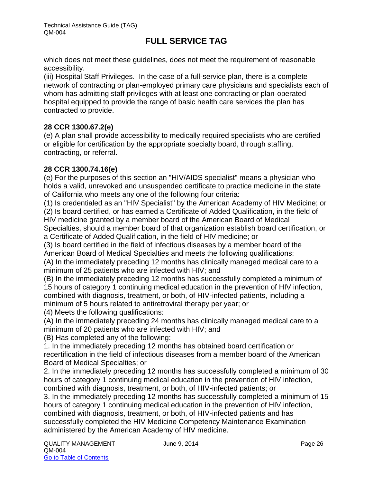which does not meet these guidelines, does not meet the requirement of reasonable accessibility.

(iii) Hospital Staff Privileges. In the case of a full-service plan, there is a complete network of contracting or plan-employed primary care physicians and specialists each of whom has admitting staff privileges with at least one contracting or plan-operated hospital equipped to provide the range of basic health care services the plan has contracted to provide.

#### **28 CCR 1300.67.2(e)**

(e) A plan shall provide accessibility to medically required specialists who are certified or eligible for certification by the appropriate specialty board, through staffing, contracting, or referral.

#### **28 CCR 1300.74.16(e)**

(e) For the purposes of this section an "HIV/AIDS specialist" means a physician who holds a valid, unrevoked and unsuspended certificate to practice medicine in the state of California who meets any one of the following four criteria:

(1) Is credentialed as an "HIV Specialist" by the American Academy of HIV Medicine; or

(2) Is board certified, or has earned a Certificate of Added Qualification, in the field of HIV medicine granted by a member board of the American Board of Medical Specialties, should a member board of that organization establish board certification, or a Certificate of Added Qualification, in the field of HIV medicine; or

(3) Is board certified in the field of infectious diseases by a member board of the American Board of Medical Specialties and meets the following qualifications:

(A) In the immediately preceding 12 months has clinically managed medical care to a minimum of 25 patients who are infected with HIV; and

(B) In the immediately preceding 12 months has successfully completed a minimum of 15 hours of category 1 continuing medical education in the prevention of HIV infection, combined with diagnosis, treatment, or both, of HIV-infected patients, including a minimum of 5 hours related to antiretroviral therapy per year; or

(4) Meets the following qualifications:

(A) In the immediately preceding 24 months has clinically managed medical care to a minimum of 20 patients who are infected with HIV; and

(B) Has completed any of the following:

1. In the immediately preceding 12 months has obtained board certification or recertification in the field of infectious diseases from a member board of the American Board of Medical Specialties; or

2. In the immediately preceding 12 months has successfully completed a minimum of 30 hours of category 1 continuing medical education in the prevention of HIV infection, combined with diagnosis, treatment, or both, of HIV-infected patients; or

3. In the immediately preceding 12 months has successfully completed a minimum of 15 hours of category 1 continuing medical education in the prevention of HIV infection, combined with diagnosis, treatment, or both, of HIV-infected patients and has successfully completed the HIV Medicine Competency Maintenance Examination administered by the American Academy of HIV medicine.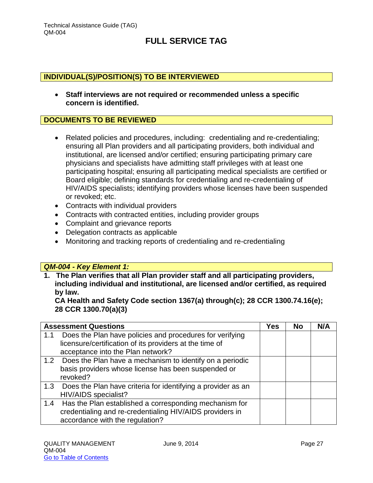#### **INDIVIDUAL(S)/POSITION(S) TO BE INTERVIEWED**

 **Staff interviews are not required or recommended unless a specific concern is identified.** 

#### **DOCUMENTS TO BE REVIEWED**

- Related policies and procedures, including: credentialing and re-credentialing; ensuring all Plan providers and all participating providers, both individual and institutional, are licensed and/or certified; ensuring participating primary care physicians and specialists have admitting staff privileges with at least one participating hospital; ensuring all participating medical specialists are certified or Board eligible; defining standards for credentialing and re-credentialing of HIV/AIDS specialists; identifying providers whose licenses have been suspended or revoked; etc.
- Contracts with individual providers
- Contracts with contracted entities, including provider groups
- Complaint and grievance reports
- Delegation contracts as applicable
- Monitoring and tracking reports of credentialing and re-credentialing

#### *QM-004 - Key Element 1:*

**1. The Plan verifies that all Plan provider staff and all participating providers, including individual and institutional, are licensed and/or certified, as required by law.** 

**CA Health and Safety Code section 1367(a) through(c); 28 CCR 1300.74.16(e); 28 CCR 1300.70(a)(3)** 

| <b>Assessment Questions</b>                                      | <b>Yes</b> | <b>No</b> | N/A |
|------------------------------------------------------------------|------------|-----------|-----|
| Does the Plan have policies and procedures for verifying<br>1.1  |            |           |     |
| licensure/certification of its providers at the time of          |            |           |     |
| acceptance into the Plan network?                                |            |           |     |
| 1.2 Does the Plan have a mechanism to identify on a periodic     |            |           |     |
| basis providers whose license has been suspended or              |            |           |     |
| revoked?                                                         |            |           |     |
| 1.3 Does the Plan have criteria for identifying a provider as an |            |           |     |
| HIV/AIDS specialist?                                             |            |           |     |
| Has the Plan established a corresponding mechanism for<br>1.4    |            |           |     |
| credentialing and re-credentialing HIV/AIDS providers in         |            |           |     |
| accordance with the regulation?                                  |            |           |     |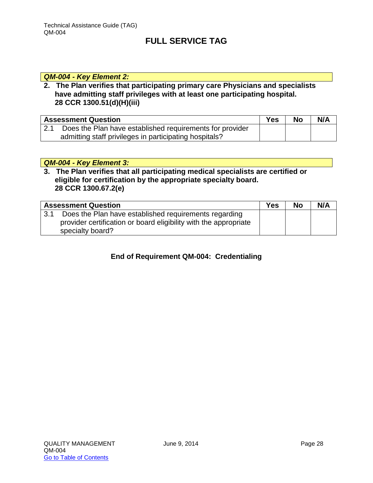#### *QM-004 - Key Element 2:*

#### **2. The Plan verifies that participating primary care Physicians and specialists have admitting staff privileges with at least one participating hospital. 28 CCR 1300.51(d)(H)(iii)**

|              | <b>Assessment Question</b>                               | <b>Yes</b> | <b>No</b> | N/A |
|--------------|----------------------------------------------------------|------------|-----------|-----|
| $\sqrt{2.1}$ | Does the Plan have established requirements for provider |            |           |     |
|              | admitting staff privileges in participating hospitals?   |            |           |     |

#### *QM-004 - Key Element 3:*

**3. The Plan verifies that all participating medical specialists are certified or eligible for certification by the appropriate specialty board. 28 CCR 1300.67.2(e)**

|     | <b>Assessment Question</b>                                                                                                                    | <b>Yes</b> | <b>No</b> | N/A |
|-----|-----------------------------------------------------------------------------------------------------------------------------------------------|------------|-----------|-----|
| 3.1 | Does the Plan have established requirements regarding<br>provider certification or board eligibility with the appropriate<br>specialty board? |            |           |     |

#### **End of Requirement QM-004: Credentialing**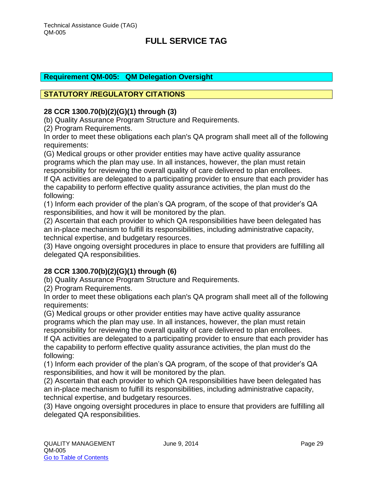#### <span id="page-29-0"></span>**Requirement QM-005: QM Delegation Oversight**

#### **STATUTORY /REGULATORY CITATIONS**

#### **28 CCR 1300.70(b)(2)(G)(1) through (3)**

(b) Quality Assurance Program Structure and Requirements.

(2) Program Requirements.

In order to meet these obligations each plan's QA program shall meet all of the following requirements:

(G) Medical groups or other provider entities may have active quality assurance programs which the plan may use. In all instances, however, the plan must retain responsibility for reviewing the overall quality of care delivered to plan enrollees.

If QA activities are delegated to a participating provider to ensure that each provider has the capability to perform effective quality assurance activities, the plan must do the following:

(1) Inform each provider of the plan's QA program, of the scope of that provider's QA responsibilities, and how it will be monitored by the plan.

(2) Ascertain that each provider to which QA responsibilities have been delegated has an in-place mechanism to fulfill its responsibilities, including administrative capacity, technical expertise, and budgetary resources.

(3) Have ongoing oversight procedures in place to ensure that providers are fulfilling all delegated QA responsibilities.

#### **28 CCR 1300.70(b)(2)(G)(1) through (6)**

(b) Quality Assurance Program Structure and Requirements.

(2) Program Requirements.

In order to meet these obligations each plan's QA program shall meet all of the following requirements:

(G) Medical groups or other provider entities may have active quality assurance programs which the plan may use. In all instances, however, the plan must retain responsibility for reviewing the overall quality of care delivered to plan enrollees. If QA activities are delegated to a participating provider to ensure that each provider has the capability to perform effective quality assurance activities, the plan must do the

following:

(1) Inform each provider of the plan's QA program, of the scope of that provider's QA responsibilities, and how it will be monitored by the plan.

(2) Ascertain that each provider to which QA responsibilities have been delegated has an in-place mechanism to fulfill its responsibilities, including administrative capacity, technical expertise, and budgetary resources.

(3) Have ongoing oversight procedures in place to ensure that providers are fulfilling all delegated QA responsibilities.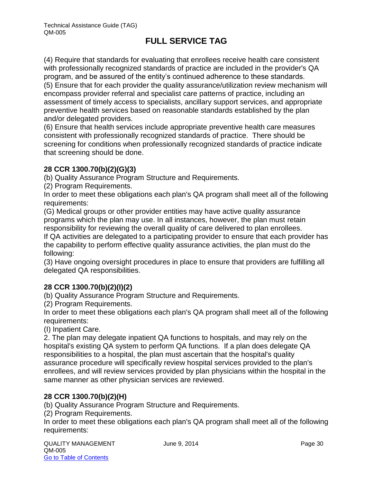(4) Require that standards for evaluating that enrollees receive health care consistent with professionally recognized standards of practice are included in the provider's QA program, and be assured of the entity's continued adherence to these standards. (5) Ensure that for each provider the quality assurance/utilization review mechanism will

encompass provider referral and specialist care patterns of practice, including an assessment of timely access to specialists, ancillary support services, and appropriate preventive health services based on reasonable standards established by the plan and/or delegated providers.

(6) Ensure that health services include appropriate preventive health care measures consistent with professionally recognized standards of practice. There should be screening for conditions when professionally recognized standards of practice indicate that screening should be done.

#### **28 CCR 1300.70(b)(2)(G)(3)**

(b) Quality Assurance Program Structure and Requirements.

(2) Program Requirements.

In order to meet these obligations each plan's QA program shall meet all of the following requirements:

(G) Medical groups or other provider entities may have active quality assurance programs which the plan may use. In all instances, however, the plan must retain responsibility for reviewing the overall quality of care delivered to plan enrollees.

If QA activities are delegated to a participating provider to ensure that each provider has the capability to perform effective quality assurance activities, the plan must do the following:

(3) Have ongoing oversight procedures in place to ensure that providers are fulfilling all delegated QA responsibilities.

#### **28 CCR 1300.70(b)(2)(I)(2)**

(b) Quality Assurance Program Structure and Requirements.

(2) Program Requirements.

In order to meet these obligations each plan's QA program shall meet all of the following requirements:

(I) Inpatient Care.

2. The plan may delegate inpatient QA functions to hospitals, and may rely on the hospital's existing QA system to perform QA functions. If a plan does delegate QA responsibilities to a hospital, the plan must ascertain that the hospital's quality assurance procedure will specifically review hospital services provided to the plan's enrollees, and will review services provided by plan physicians within the hospital in the same manner as other physician services are reviewed.

#### **28 CCR 1300.70(b)(2)(H)**

(b) Quality Assurance Program Structure and Requirements.

(2) Program Requirements.

In order to meet these obligations each plan's QA program shall meet all of the following requirements: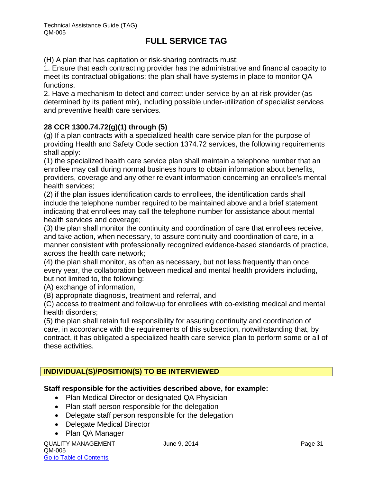(H) A plan that has capitation or risk-sharing contracts must:

1. Ensure that each contracting provider has the administrative and financial capacity to meet its contractual obligations; the plan shall have systems in place to monitor QA functions.

2. Have a mechanism to detect and correct under-service by an at-risk provider (as determined by its patient mix), including possible under-utilization of specialist services and preventive health care services.

#### **28 CCR 1300.74.72(g)(1) through (5)**

(g) If a plan contracts with a specialized health care service plan for the purpose of providing Health and Safety Code section 1374.72 services, the following requirements shall apply:

(1) the specialized health care service plan shall maintain a telephone number that an enrollee may call during normal business hours to obtain information about benefits, providers, coverage and any other relevant information concerning an enrollee's mental health services;

(2) if the plan issues identification cards to enrollees, the identification cards shall include the telephone number required to be maintained above and a brief statement indicating that enrollees may call the telephone number for assistance about mental health services and coverage;

(3) the plan shall monitor the continuity and coordination of care that enrollees receive, and take action, when necessary, to assure continuity and coordination of care, in a manner consistent with professionally recognized evidence-based standards of practice, across the health care network;

(4) the plan shall monitor, as often as necessary, but not less frequently than once every year, the collaboration between medical and mental health providers including, but not limited to, the following:

(A) exchange of information,

(B) appropriate diagnosis, treatment and referral, and

(C) access to treatment and follow-up for enrollees with co-existing medical and mental health disorders;

(5) the plan shall retain full responsibility for assuring continuity and coordination of care, in accordance with the requirements of this subsection, notwithstanding that, by contract, it has obligated a specialized health care service plan to perform some or all of these activities.

#### **INDIVIDUAL(S)/POSITION(S) TO BE INTERVIEWED**

#### **Staff responsible for the activities described above, for example:**

- Plan Medical Director or designated QA Physician
- Plan staff person responsible for the delegation
- Delegate staff person responsible for the delegation
- Delegate Medical Director
- Plan QA Manager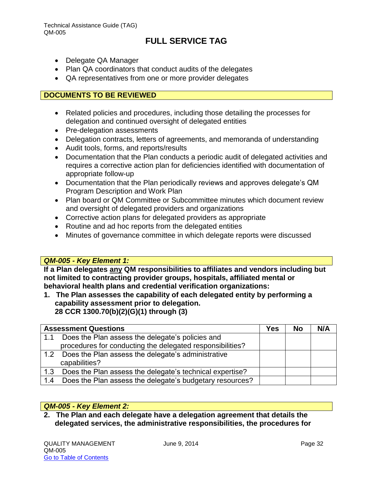- Delegate QA Manager
- Plan QA coordinators that conduct audits of the delegates
- QA representatives from one or more provider delegates

#### **DOCUMENTS TO BE REVIEWED**

- Related policies and procedures, including those detailing the processes for delegation and continued oversight of delegated entities
- Pre-delegation assessments
- Delegation contracts, letters of agreements, and memoranda of understanding
- Audit tools, forms, and reports/results
- Documentation that the Plan conducts a periodic audit of delegated activities and requires a corrective action plan for deficiencies identified with documentation of appropriate follow-up
- Documentation that the Plan periodically reviews and approves delegate's QM Program Description and Work Plan
- Plan board or QM Committee or Subcommittee minutes which document review and oversight of delegated providers and organizations
- Corrective action plans for delegated providers as appropriate
- Routine and ad hoc reports from the delegated entities
- Minutes of governance committee in which delegate reports were discussed

#### *QM-005 - Key Element 1:*

**If a Plan delegates any QM responsibilities to affiliates and vendors including but not limited to contracting provider groups, hospitals, affiliated mental or behavioral health plans and credential verification organizations:** 

**1. The Plan assesses the capability of each delegated entity by performing a capability assessment prior to delegation. 28 CCR 1300.70(b)(2)(G)(1) through (3)**

|     | <b>Assessment Questions</b>                               | <b>Yes</b> | <b>No</b> | N/A |
|-----|-----------------------------------------------------------|------------|-----------|-----|
| 1.1 | Does the Plan assess the delegate's policies and          |            |           |     |
|     | procedures for conducting the delegated responsibilities? |            |           |     |
| 1.2 | Does the Plan assess the delegate's administrative        |            |           |     |
|     | capabilities?                                             |            |           |     |
| 1.3 | Does the Plan assess the delegate's technical expertise?  |            |           |     |
| 1.4 | Does the Plan assess the delegate's budgetary resources?  |            |           |     |

#### *QM-005 - Key Element 2:*

**2. The Plan and each delegate have a delegation agreement that details the delegated services, the administrative responsibilities, the procedures for**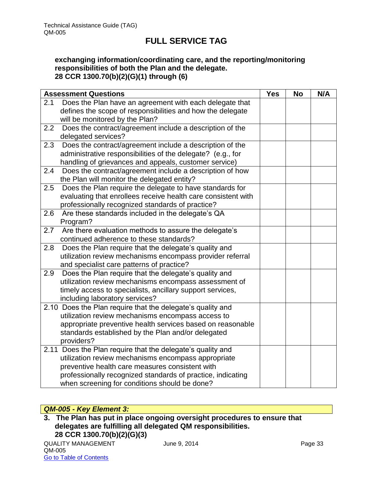#### **exchanging information/coordinating care, and the reporting/monitoring responsibilities of both the Plan and the delegate. 28 CCR 1300.70(b)(2)(G)(1) through (6)**

|     | <b>Assessment Questions</b>                                   | <b>Yes</b> | <b>No</b> | N/A |
|-----|---------------------------------------------------------------|------------|-----------|-----|
| 2.1 | Does the Plan have an agreement with each delegate that       |            |           |     |
|     | defines the scope of responsibilities and how the delegate    |            |           |     |
|     | will be monitored by the Plan?                                |            |           |     |
| 2.2 | Does the contract/agreement include a description of the      |            |           |     |
|     | delegated services?                                           |            |           |     |
| 2.3 | Does the contract/agreement include a description of the      |            |           |     |
|     | administrative responsibilities of the delegate? (e.g., for   |            |           |     |
|     | handling of grievances and appeals, customer service)         |            |           |     |
| 2.4 | Does the contract/agreement include a description of how      |            |           |     |
|     | the Plan will monitor the delegated entity?                   |            |           |     |
| 2.5 | Does the Plan require the delegate to have standards for      |            |           |     |
|     | evaluating that enrollees receive health care consistent with |            |           |     |
|     | professionally recognized standards of practice?              |            |           |     |
| 2.6 | Are these standards included in the delegate's QA             |            |           |     |
|     | Program?                                                      |            |           |     |
| 2.7 | Are there evaluation methods to assure the delegate's         |            |           |     |
|     | continued adherence to these standards?                       |            |           |     |
| 2.8 | Does the Plan require that the delegate's quality and         |            |           |     |
|     | utilization review mechanisms encompass provider referral     |            |           |     |
|     | and specialist care patterns of practice?                     |            |           |     |
| 2.9 | Does the Plan require that the delegate's quality and         |            |           |     |
|     | utilization review mechanisms encompass assessment of         |            |           |     |
|     | timely access to specialists, ancillary support services,     |            |           |     |
|     | including laboratory services?                                |            |           |     |
|     | 2.10 Does the Plan require that the delegate's quality and    |            |           |     |
|     | utilization review mechanisms encompass access to             |            |           |     |
|     | appropriate preventive health services based on reasonable    |            |           |     |
|     | standards established by the Plan and/or delegated            |            |           |     |
|     | providers?                                                    |            |           |     |
|     | 2.11 Does the Plan require that the delegate's quality and    |            |           |     |
|     | utilization review mechanisms encompass appropriate           |            |           |     |
|     | preventive health care measures consistent with               |            |           |     |
|     | professionally recognized standards of practice, indicating   |            |           |     |
|     | when screening for conditions should be done?                 |            |           |     |

### *QM-005 - Key Element 3:*

**3. The Plan has put in place ongoing oversight procedures to ensure that delegates are fulfilling all delegated QM responsibilities. 28 CCR 1300.70(b)(2)(G)(3)**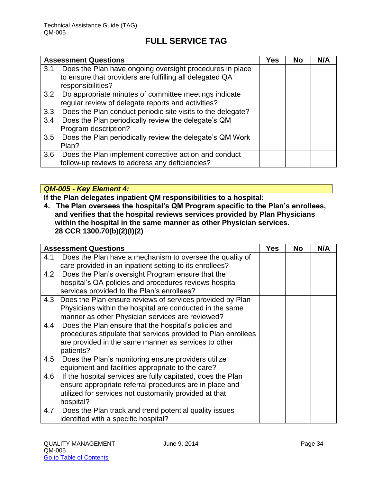|     | <b>Assessment Questions</b>                                 | Yes | <b>No</b> | N/A |
|-----|-------------------------------------------------------------|-----|-----------|-----|
| 3.1 | Does the Plan have ongoing oversight procedures in place    |     |           |     |
|     | to ensure that providers are fulfilling all delegated QA    |     |           |     |
|     | responsibilities?                                           |     |           |     |
| 3.2 | Do appropriate minutes of committee meetings indicate       |     |           |     |
|     | regular review of delegate reports and activities?          |     |           |     |
| 3.3 | Does the Plan conduct periodic site visits to the delegate? |     |           |     |
| 3.4 | Does the Plan periodically review the delegate's QM         |     |           |     |
|     | Program description?                                        |     |           |     |
| 3.5 | Does the Plan periodically review the delegate's QM Work    |     |           |     |
|     | Plan?                                                       |     |           |     |
| 3.6 | Does the Plan implement corrective action and conduct       |     |           |     |
|     | follow-up reviews to address any deficiencies?              |     |           |     |

#### *QM-005 - Key Element 4:*

**If the Plan delegates inpatient QM responsibilities to a hospital:** 

**4. The Plan oversees the hospital's QM Program specific to the Plan's enrollees, and verifies that the hospital reviews services provided by Plan Physicians within the hospital in the same manner as other Physician services. 28 CCR 1300.70(b)(2)(I)(2)**

|     | <b>Assessment Questions</b>                                   | <b>Yes</b> | <b>No</b> | N/A |
|-----|---------------------------------------------------------------|------------|-----------|-----|
| 4.1 | Does the Plan have a mechanism to oversee the quality of      |            |           |     |
|     | care provided in an inpatient setting to its enrollees?       |            |           |     |
| 4.2 | Does the Plan's oversight Program ensure that the             |            |           |     |
|     | hospital's QA policies and procedures reviews hospital        |            |           |     |
|     | services provided to the Plan's enrollees?                    |            |           |     |
|     | 4.3 Does the Plan ensure reviews of services provided by Plan |            |           |     |
|     | Physicians within the hospital are conducted in the same      |            |           |     |
|     | manner as other Physician services are reviewed?              |            |           |     |
| 4.4 | Does the Plan ensure that the hospital's policies and         |            |           |     |
|     | procedures stipulate that services provided to Plan enrollees |            |           |     |
|     | are provided in the same manner as services to other          |            |           |     |
|     | patients?                                                     |            |           |     |
| 4.5 | Does the Plan's monitoring ensure providers utilize           |            |           |     |
|     | equipment and facilities appropriate to the care?             |            |           |     |
| 4.6 | If the hospital services are fully capitated, does the Plan   |            |           |     |
|     | ensure appropriate referral procedures are in place and       |            |           |     |
|     | utilized for services not customarily provided at that        |            |           |     |
|     | hospital?                                                     |            |           |     |
| 4.7 | Does the Plan track and trend potential quality issues        |            |           |     |
|     | identified with a specific hospital?                          |            |           |     |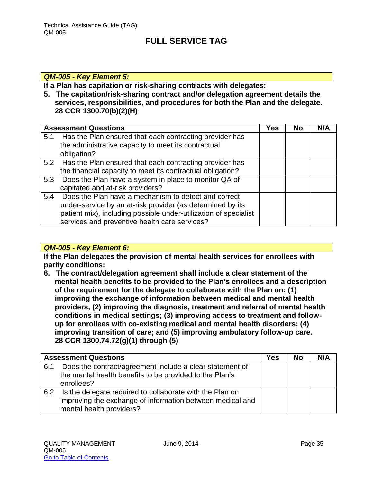#### *QM-005 - Key Element 5:*

**If a Plan has capitation or risk-sharing contracts with delegates:** 

**5. The capitation/risk-sharing contract and/or delegation agreement details the services, responsibilities, and procedures for both the Plan and the delegate. 28 CCR 1300.70(b)(2)(H)**

|     | <b>Assessment Questions</b>                                      | <b>Yes</b> | <b>No</b> | N/A |
|-----|------------------------------------------------------------------|------------|-----------|-----|
| 5.1 | Has the Plan ensured that each contracting provider has          |            |           |     |
|     | the administrative capacity to meet its contractual              |            |           |     |
|     | obligation?                                                      |            |           |     |
|     | 5.2 Has the Plan ensured that each contracting provider has      |            |           |     |
|     | the financial capacity to meet its contractual obligation?       |            |           |     |
| 5.3 | Does the Plan have a system in place to monitor QA of            |            |           |     |
|     | capitated and at-risk providers?                                 |            |           |     |
| 5.4 | Does the Plan have a mechanism to detect and correct             |            |           |     |
|     | under-service by an at-risk provider (as determined by its       |            |           |     |
|     | patient mix), including possible under-utilization of specialist |            |           |     |
|     | services and preventive health care services?                    |            |           |     |

#### *QM-005 - Key Element 6:*

**If the Plan delegates the provision of mental health services for enrollees with parity conditions:** 

**6. The contract/delegation agreement shall include a clear statement of the mental health benefits to be provided to the Plan's enrollees and a description of the requirement for the delegate to collaborate with the Plan on: (1) improving the exchange of information between medical and mental health providers, (2) improving the diagnosis, treatment and referral of mental health conditions in medical settings; (3) improving access to treatment and followup for enrollees with co-existing medical and mental health disorders; (4) improving transition of care; and (5) improving ambulatory follow-up care. 28 CCR 1300.74.72(g)(1) through (5)** 

|     | <b>Assessment Questions</b>                                                                                                                       | Yes | <b>No</b> | N/A |
|-----|---------------------------------------------------------------------------------------------------------------------------------------------------|-----|-----------|-----|
| 6.1 | Does the contract/agreement include a clear statement of<br>the mental health benefits to be provided to the Plan's                               |     |           |     |
|     | enrollees?                                                                                                                                        |     |           |     |
| 6.2 | Is the delegate required to collaborate with the Plan on<br>improving the exchange of information between medical and<br>mental health providers? |     |           |     |